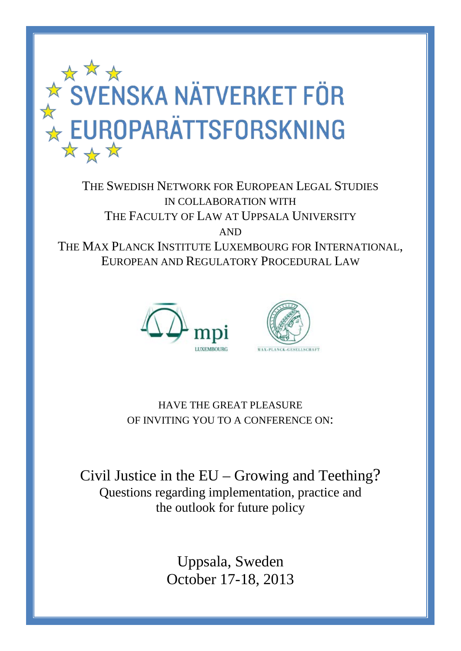

THE SWEDISH NETWORK FOR EUROPEAN LEGAL STUDIES IN COLLABORATION WITH THE FACULTY OF LAW AT UPPSALA UNIVERSITY AND THE MAX PLANCK INSTITUTE LUXEMBOURG FOR INTERNATIONAL, EUROPEAN AND REGULATORY PROCEDURAL LAW





HAVE THE GREAT PLEASURE OF INVITING YOU TO A CONFERENCE ON:

Civil Justice in the EU – Growing and Teething? Questions regarding implementation, practice and the outlook for future policy

> Uppsala, Sweden October 17-18, 2013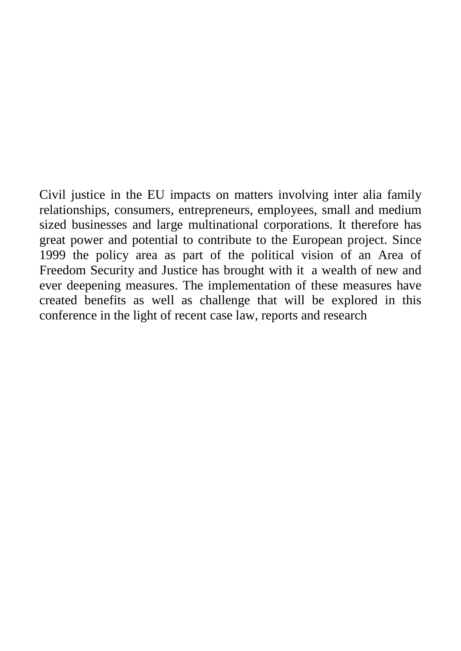Civil justice in the EU impacts on matters involving inter alia family relationships, consumers, entrepreneurs, employees, small and medium sized businesses and large multinational corporations. It therefore has great power and potential to contribute to the European project. Since 1999 the policy area as part of the political vision of an Area of Freedom Security and Justice has brought with it a wealth of new and ever deepening measures. The implementation of these measures have created benefits as well as challenge that will be explored in this conference in the light of recent case law, reports and research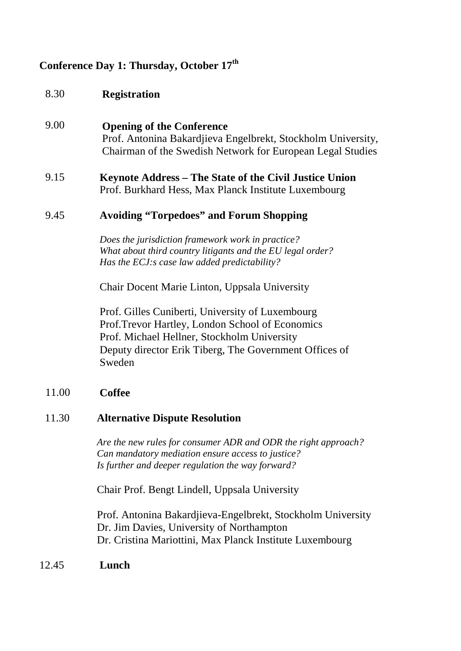## **Conference Day 1: Thursday, October 17th**

- 8.30 **Registration**
- 9.00 **Opening of the Conference** Prof. Antonina Bakardjieva Engelbrekt, Stockholm University, Chairman of the Swedish Network for European Legal Studies

#### 9.15 **Keynote Address – The State of the Civil Justice Union** Prof. Burkhard Hess, Max Planck Institute Luxembourg

#### 9.45 **Avoiding "Torpedoes" and Forum Shopping**

*Does the jurisdiction framework work in practice? What about third country litigants and the EU legal order? Has the ECJ:s case law added predictability?*

Chair Docent Marie Linton, Uppsala University

Prof. Gilles Cuniberti, University of Luxembourg Prof.Trevor Hartley, London School of Economics Prof. Michael Hellner, Stockholm University Deputy director Erik Tiberg, The Government Offices of Sweden

#### 11.00 **Coffee**

#### 11.30 **Alternative Dispute Resolution**

*Are the new rules for consumer ADR and ODR the right approach? Can mandatory mediation ensure access to justice? Is further and deeper regulation the way forward?*

Chair Prof. Bengt Lindell, Uppsala University

Prof. Antonina Bakardjieva-Engelbrekt, Stockholm University Dr. Jim Davies, University of Northampton Dr. Cristina Mariottini, Max Planck Institute Luxembourg

12.45 **Lunch**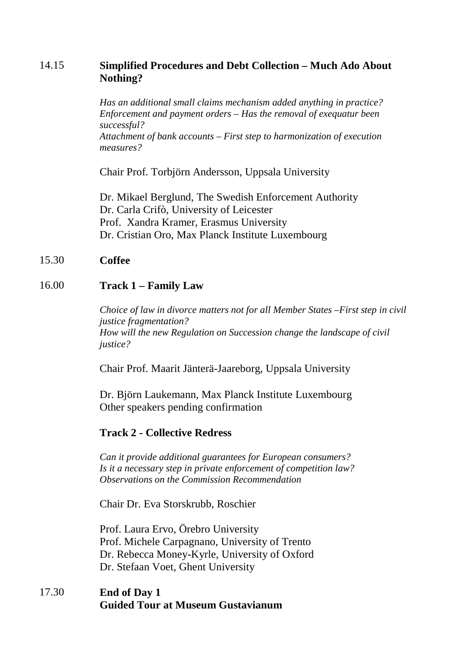# 14.15 **Simplified Procedures and Debt Collection – Much Ado About Nothing?**

*Has an additional small claims mechanism added anything in practice? Enforcement and payment orders – Has the removal of exequatur been successful?* 

*Attachment of bank accounts – First step to harmonization of execution measures?*

Chair Prof. Torbjörn Andersson, Uppsala University

Dr. Mikael Berglund, The Swedish Enforcement Authority Dr. Carla Crifò, University of Leicester Prof. Xandra Kramer, Erasmus University Dr. Cristian Oro, Max Planck Institute Luxembourg

#### 15.30 **Coffee**

#### 16.00 **Track 1 – Family Law**

*Choice of law in divorce matters not for all Member States –First step in civil justice fragmentation? How will the new Regulation on Succession change the landscape of civil justice?*

Chair Prof. Maarit Jänterä-Jaareborg, Uppsala University

Dr. Björn Laukemann, Max Planck Institute Luxembourg Other speakers pending confirmation

#### **Track 2 - Collective Redress**

*Can it provide additional guarantees for European consumers? Is it a necessary step in private enforcement of competition law? Observations on the Commission Recommendation*

Chair Dr. Eva Storskrubb, Roschier

Prof. Laura Ervo, Örebro University Prof. Michele Carpagnano, University of Trento Dr. Rebecca Money-Kyrle, University of Oxford Dr. Stefaan Voet, Ghent University

17.30 **End of Day 1 Guided Tour at Museum Gustavianum**